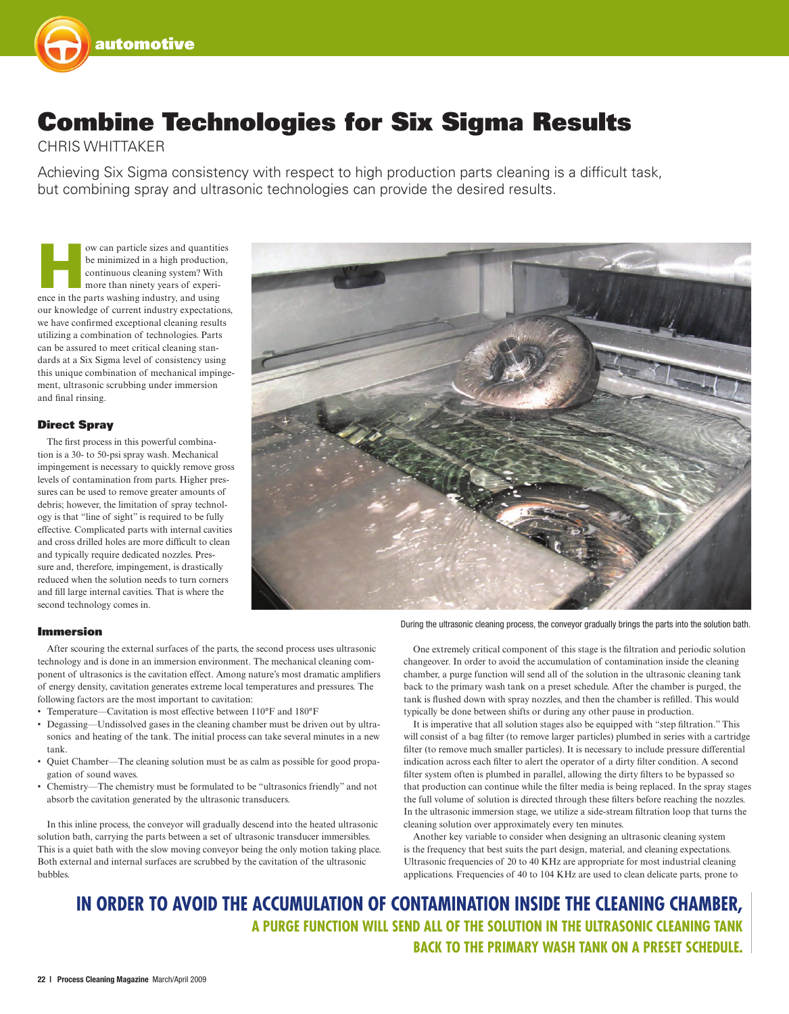

# Combine Technologies for Six Sigma Results

### Chris WHittaker

Achieving Six Sigma consistency with respect to high production parts cleaning is a difficult task, but combining spray and ultrasonic technologies can provide the desired results.

ow can particle sizes and quantities<br>
be minimized in a high production,<br>
continuous cleaning system? With<br>
more than ninety years of experi-<br>
ence in the parts washing industry, and using be minimized in a high production, continuous cleaning system? With more than ninety years of experiour knowledge of current industry expectations, we have confirmed exceptional cleaning results utilizing a combination of technologies. Parts can be assured to meet critical cleaning standards at a Six Sigma level of consistency using this unique combination of mechanical impingement, ultrasonic scrubbing under immersion and final rinsing.

### Direct Spray

The first process in this powerful combination is a 30- to 50-psi spray wash. Mechanical impingement is necessary to quickly remove gross levels of contamination from parts. Higher pressures can be used to remove greater amounts of debris; however, the limitation of spray technology is that "line of sight" is required to be fully effective. Complicated parts with internal cavities and cross drilled holes are more difficult to clean and typically require dedicated nozzles. Pressure and, therefore, impingement, is drastically reduced when the solution needs to turn corners and fill large internal cavities. That is where the second technology comes in.



During the ultrasonic cleaning process, the conveyor gradually brings the parts into the solution bath.

### Immersion

After scouring the external surfaces of the parts, the second process uses ultrasonic technology and is done in an immersion environment. The mechanical cleaning component of ultrasonics is the cavitation effect. Among nature's most dramatic amplifiers of energy density, cavitation generates extreme local temperatures and pressures. The following factors are the most important to cavitation:

- Temperature—Cavitation is most effective between 110°F and 180°F
- Degassing—Undissolved gases in the cleaning chamber must be driven out by ultrasonics and heating of the tank. The initial process can take several minutes in a new tank.
- • Quiet Chamber—The cleaning solution must be as calm as possible for good propagation of sound waves.
- Chemistry—The chemistry must be formulated to be "ultrasonics friendly" and not absorb the cavitation generated by the ultrasonic transducers.

In this inline process, the conveyor will gradually descend into the heated ultrasonic solution bath, carrying the parts between a set of ultrasonic transducer immersibles. This is a quiet bath with the slow moving conveyor being the only motion taking place. Both external and internal surfaces are scrubbed by the cavitation of the ultrasonic bubbles.

One extremely critical component of this stage is the filtration and periodic solution changeover. In order to avoid the accumulation of contamination inside the cleaning chamber, a purge function will send all of the solution in the ultrasonic cleaning tank back to the primary wash tank on a preset schedule. After the chamber is purged, the tank is flushed down with spray nozzles, and then the chamber is refilled. This would typically be done between shifts or during any other pause in production.

It is imperative that all solution stages also be equipped with "step filtration." This will consist of a bag filter (to remove larger particles) plumbed in series with a cartridge filter (to remove much smaller particles). It is necessary to include pressure differential indication across each filter to alert the operator of a dirty filter condition. A second filter system often is plumbed in parallel, allowing the dirty filters to be bypassed so that production can continue while the filter media is being replaced. In the spray stages the full volume of solution is directed through these filters before reaching the nozzles. In the ultrasonic immersion stage, we utilize a side-stream filtration loop that turns the cleaning solution over approximately every ten minutes.

Another key variable to consider when designing an ultrasonic cleaning system is the frequency that best suits the part design, material, and cleaning expectations. Ultrasonic frequencies of 20 to 40 KHz are appropriate for most industrial cleaning applications. Frequencies of 40 to 104 KHz are used to clean delicate parts, prone to

## **In order to avoid the accumulation of contamination inside the cleaning chamber, a purge function will send all of the solution in the ultrasonic cleaning tank back to the primary wash tank on a preset schedule.**